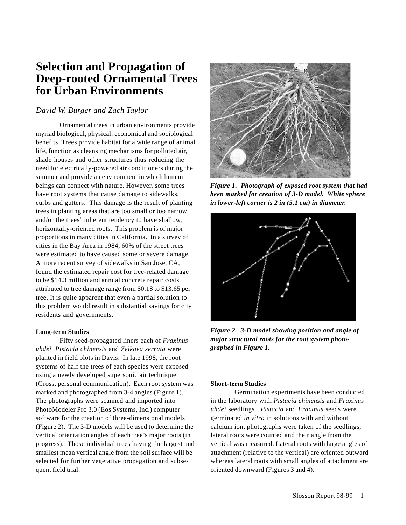# **Selection and Propagation of Deep-rooted Ornamental Trees for Urban Environments**

# *David W. Burger and Zach Taylor*

Ornamental trees in urban environments provide myriad biological, physical, economical and sociological benefits. Trees provide habitat for a wide range of animal life, function as cleansing mechanisms for polluted air, shade houses and other structures thus reducing the need for electrically-powered air conditioners during the summer and provide an environment in which human beings can connect with nature. However, some trees have root systems that cause damage to sidewalks, curbs and gutters. This damage is the result of planting trees in planting areas that are too small or too narrow and/or the trees' inherent tendency to have shallow, horizontally-oriented roots. This problem is of major proportions in many cities in California. In a survey of cities in the Bay Area in 1984, 60% of the street trees were estimated to have caused some or severe damage. A more recent survey of sidewalks in San Jose, CA, found the estimated repair cost for tree-related damage to be \$14.3 million and annual concrete repair costs attributed to tree damage range from \$0.18 to \$13.65 per tree. It is quite apparent that even a partial solution to this problem would result in substantial savings for city residents and governments.

## **Long-term Studies**

Fifty seed-propagated liners each of *Fraxinus uhdei, Pistacia chinensis* and *Zelkova serrata* were planted in field plots in Davis. In late 1998, the root systems of half the trees of each species were exposed using a newly developed supersonic air technique (Gross, personal communication). Each root system was marked and photographed from 3-4 angles (Figure 1). The photographs were scanned and imported into PhotoModeler Pro 3.0 (Eos Systems, Inc.) computer software for the creation of three-dimensional models (Figure 2). The 3-D models will be used to determine the vertical orientation angles of each tree's major roots (in progress). Those individual trees having the largest and smallest mean vertical angle from the soil surface will be selected for further vegetative propagation and subsequent field trial.



*Figure 1. Photograph of exposed root system that had been marked for creation of 3-D model. White sphere in lower-left corner is 2 in (5.1 cm) in diameter.*



*Figure 2. 3-D model showing position and angle of major structural roots for the root system photographed in Figure 1.*

## **Short-term Studies**

Germination experiments have been conducted in the laboratory with *Pistacia chinensis* and *Fraxinus uhdei* seedlings. *Pistacia* and *Fraxinus* seeds were germinated *in vitro* in solutions with and without calcium ion, photographs were taken of the seedlings, lateral roots were counted and their angle from the vertical was measured. Lateral roots with large angles of attachment (relative to the vertical) are oriented outward whereas lateral roots with small angles of attachment are oriented downward (Figures 3 and 4).